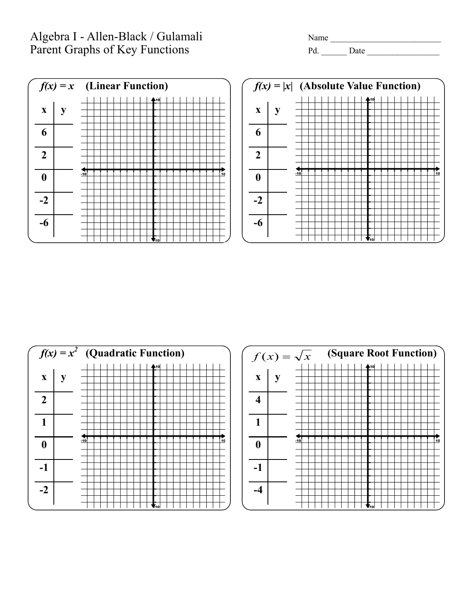## Algebra I - Allen-Black / Gulamali Name Name Name \_\_\_\_\_\_\_\_\_\_\_\_\_\_\_\_\_\_\_\_\_\_\_\_\_\_\_\_\_\_\_<br>Parent Graphs of Key Functions Pd. \_\_\_\_\_\_Date \_\_\_\_\_\_\_\_\_\_\_\_\_\_\_\_\_\_\_\_\_\_\_\_\_\_\_\_\_\_\_\_\_\_ Parent Graphs of Key Functions









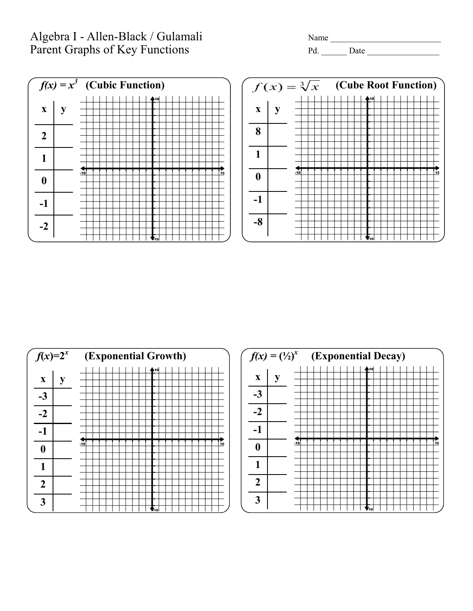## Algebra I - Allen-Black / Gulamali Name \_\_\_\_\_\_\_\_\_\_\_\_\_\_\_\_\_\_\_\_\_\_\_\_\_\_ Parent Graphs of Key Functions